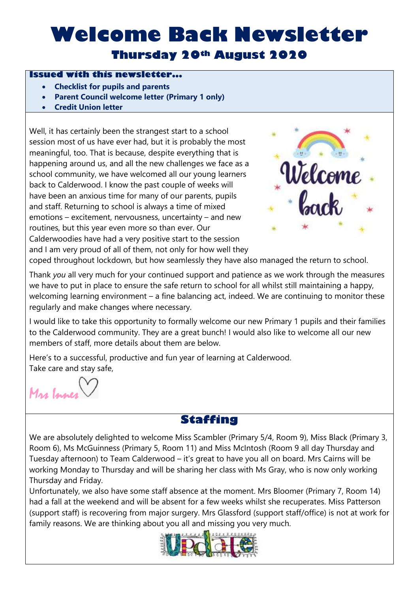## **Welcome Back Newsletter Thursday 20th August 2020**

#### **Issued with this newsletter...**

- **Checklist for pupils and parents**
- **Parent Council welcome letter (Primary 1 only)**
- **Credit Union letter**

Well, it has certainly been the strangest start to a school session most of us have ever had, but it is probably the most meaningful, too. That is because, despite everything that is happening around us, and all the new challenges we face as a school community, we have welcomed all our young learners back to Calderwood. I know the past couple of weeks will have been an anxious time for many of our parents, pupils and staff. Returning to school is always a time of mixed emotions – excitement, nervousness, uncertainty – and new routines, but this year even more so than ever. Our Calderwoodies have had a very positive start to the session and I am very proud of all of them, not only for how well they



coped throughout lockdown, but how seamlessly they have also managed the return to school.

Thank *you* all very much for your continued support and patience as we work through the measures we have to put in place to ensure the safe return to school for all whilst still maintaining a happy, welcoming learning environment – a fine balancing act, indeed. We are continuing to monitor these regularly and make changes where necessary.

I would like to take this opportunity to formally welcome our new Primary 1 pupils and their families to the Calderwood community. They are a great bunch! I would also like to welcome all our new members of staff, more details about them are below.

Here's to a successful, productive and fun year of learning at Calderwood. Take care and stay safe,

Mrs Innes

### **Staffing**

We are absolutely delighted to welcome Miss Scambler (Primary 5/4, Room 9), Miss Black (Primary 3, Room 6), Ms McGuinness (Primary 5, Room 11) and Miss McIntosh (Room 9 all day Thursday and Tuesday afternoon) to Team Calderwood – it's great to have you all on board. Mrs Cairns will be working Monday to Thursday and will be sharing her class with Ms Gray, who is now only working Thursday and Friday.

Unfortunately, we also have some staff absence at the moment. Mrs Bloomer (Primary 7, Room 14) had a fall at the weekend and will be absent for a few weeks whilst she recuperates. Miss Patterson (support staff) is recovering from major surgery. Mrs Glassford (support staff/office) is not at work for family reasons. We are thinking about you all and missing you very much.